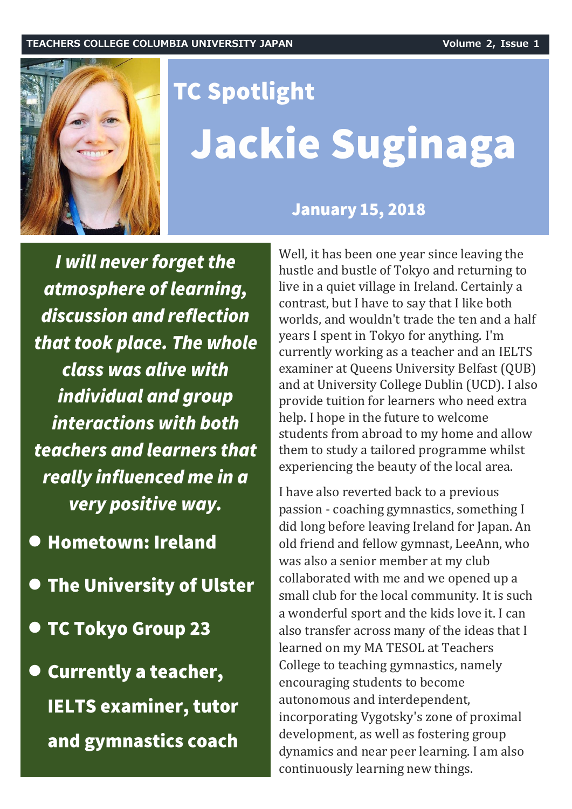

# **TC Spotlight** Jackie Suginaga

**January 15, 2018** 

I will never forget the atmosphere of learning, discussion and reflection that took place. The whole class was alive with individual and group interactions with both teachers and learners that really influenced me in a very positive way.

- $\bullet$ **Hometown: Ireland**
- **The University of Ulster**
- **TC Tokyo Group 23**
- **Currently a teacher, IELTS examiner, tutor** and gymnastics coach

Well, it has been one year since leaving the hustle and bustle of Tokyo and returning to live in a quiet village in Ireland. Certainly a contrast, but I have to say that I like both worlds, and wouldn't trade the ten and a half years I spent in Tokyo for anything. I'm currently working as a teacher and an IELTS examiner at Queens University Belfast (QUB) and at University College Dublin (UCD). I also provide tuition for learners who need extra help. I hope in the future to welcome students from abroad to my home and allow them to study a tailored programme whilst experiencing the beauty of the local area.

I have also reverted back to a previous passion - coaching gymnastics, something I did long before leaving Ireland for Japan. An old friend and fellow gymnast, LeeAnn, who was also a senior member at my club collaborated with me and we opened up a small club for the local community. It is such a wonderful sport and the kids love it. I can also transfer across many of the ideas that I learned on my MA TESOL at Teachers College to teaching gymnastics, namely encouraging students to become autonomous and interdependent, incorporating Vygotsky's zone of proximal development, as well as fostering group dynamics and near peer learning. I am also continuously learning new things.